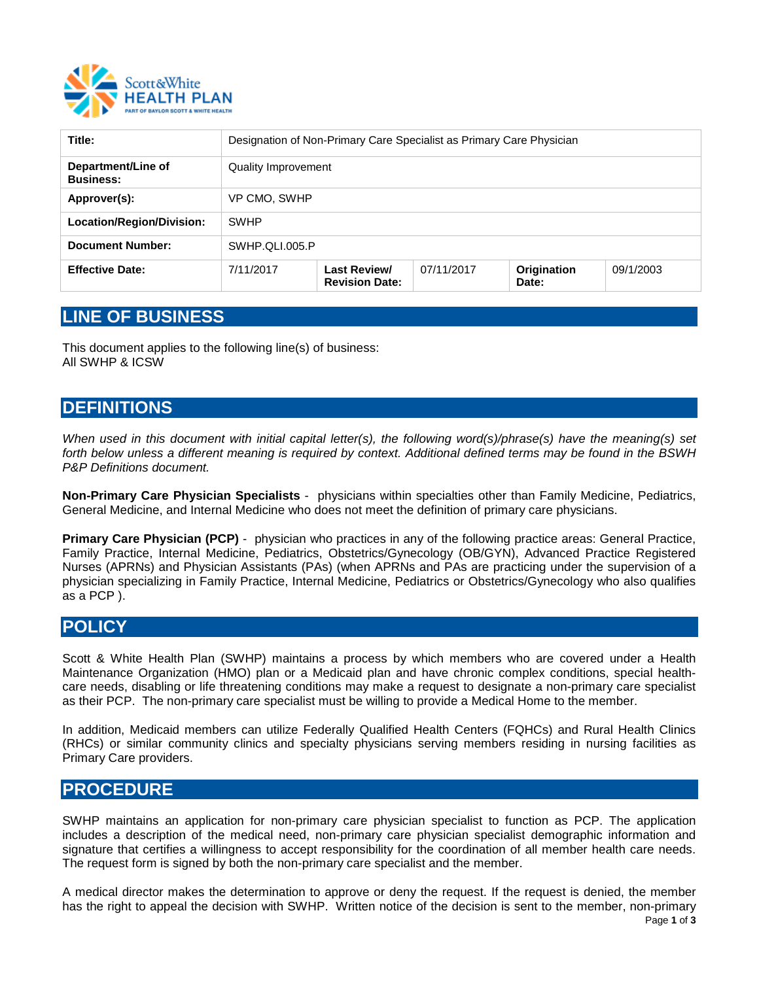

| Title:                                 | Designation of Non-Primary Care Specialist as Primary Care Physician |                                       |            |                      |           |
|----------------------------------------|----------------------------------------------------------------------|---------------------------------------|------------|----------------------|-----------|
| Department/Line of<br><b>Business:</b> | Quality Improvement                                                  |                                       |            |                      |           |
| Approver(s):                           | VP CMO, SWHP                                                         |                                       |            |                      |           |
| Location/Region/Division:              | <b>SWHP</b>                                                          |                                       |            |                      |           |
| <b>Document Number:</b>                | SWHP.QLI.005.P                                                       |                                       |            |                      |           |
| <b>Effective Date:</b>                 | 7/11/2017                                                            | Last Review/<br><b>Revision Date:</b> | 07/11/2017 | Origination<br>Date: | 09/1/2003 |

## **LINE OF BUSINESS**

This document applies to the following line(s) of business: All SWHP & ICSW

# **DEFINITIONS**

*When used in this document with initial capital letter(s), the following word(s)/phrase(s) have the meaning(s) set forth below unless a different meaning is required by context. Additional defined terms may be found in the BSWH P&P Definitions document.* 

**Non-Primary Care Physician Specialists** - physicians within specialties other than Family Medicine, Pediatrics, General Medicine, and Internal Medicine who does not meet the definition of primary care physicians.

**Primary Care Physician (PCP)** - physician who practices in any of the following practice areas: General Practice, Family Practice, Internal Medicine, Pediatrics, Obstetrics/Gynecology (OB/GYN), Advanced Practice Registered Nurses (APRNs) and Physician Assistants (PAs) (when APRNs and PAs are practicing under the supervision of a physician specializing in Family Practice, Internal Medicine, Pediatrics or Obstetrics/Gynecology who also qualifies as a PCP ).

#### **POLICY**

Scott & White Health Plan (SWHP) maintains a process by which members who are covered under a Health Maintenance Organization (HMO) plan or a Medicaid plan and have chronic complex conditions, special healthcare needs, disabling or life threatening conditions may make a request to designate a non-primary care specialist as their PCP. The non-primary care specialist must be willing to provide a Medical Home to the member.

In addition, Medicaid members can utilize Federally Qualified Health Centers (FQHCs) and Rural Health Clinics (RHCs) or similar community clinics and specialty physicians serving members residing in nursing facilities as Primary Care providers.

#### **PROCEDURE**

SWHP maintains an application for non-primary care physician specialist to function as PCP. The application includes a description of the medical need, non-primary care physician specialist demographic information and signature that certifies a willingness to accept responsibility for the coordination of all member health care needs. The request form is signed by both the non-primary care specialist and the member.

A medical director makes the determination to approve or deny the request. If the request is denied, the member has the right to appeal the decision with SWHP. Written notice of the decision is sent to the member, non-primary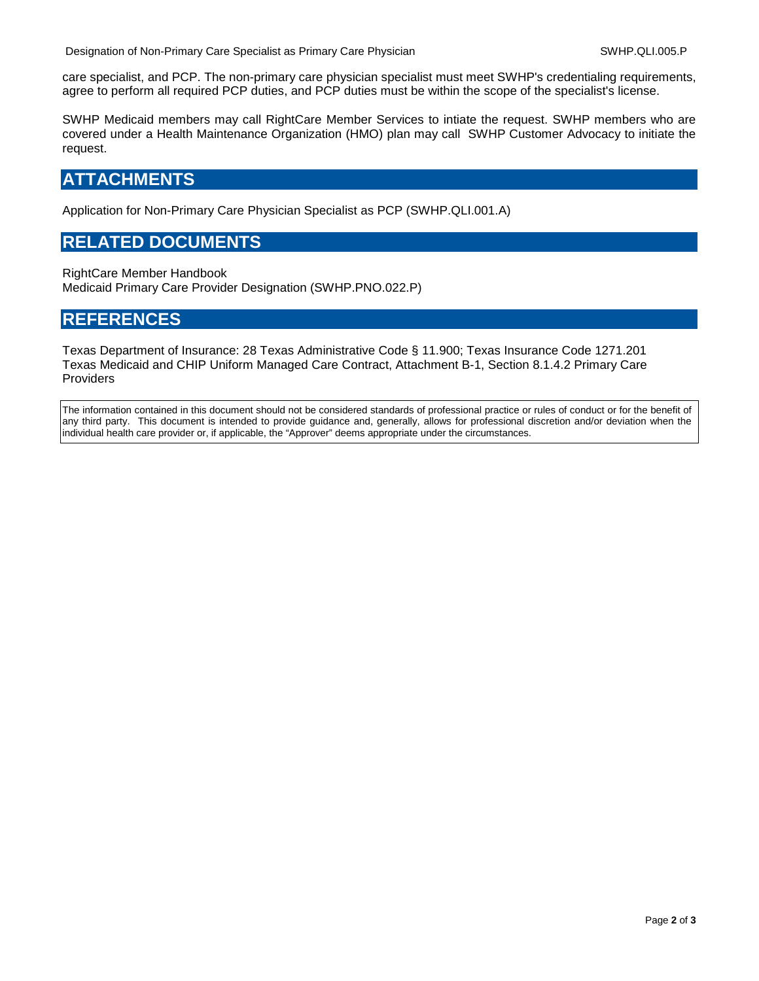care specialist, and PCP. The non-primary care physician specialist must meet SWHP's credentialing requirements, agree to perform all required PCP duties, and PCP duties must be within the scope of the specialist's license.

SWHP Medicaid members may call RightCare Member Services to intiate the request. SWHP members who are covered under a Health Maintenance Organization (HMO) plan may call SWHP Customer Advocacy to initiate the request.

#### **ATTACHMENTS**

Application for Non-Primary Care Physician Specialist as PCP (SWHP.QLI.001.A)

#### **RELATED DOCUMENTS**

RightCare Member Handbook Medicaid Primary Care Provider Designation (SWHP.PNO.022.P)

### **REFERENCES**

Texas Department of Insurance: 28 Texas Administrative Code § 11.900; Texas Insurance Code 1271.201 Texas Medicaid and CHIP Uniform Managed Care Contract, Attachment B-1, Section 8.1.4.2 Primary Care Providers

The information contained in this document should not be considered standards of professional practice or rules of conduct or for the benefit of any third party. This document is intended to provide guidance and, generally, allows for professional discretion and/or deviation when the individual health care provider or, if applicable, the "Approver" deems appropriate under the circumstances.